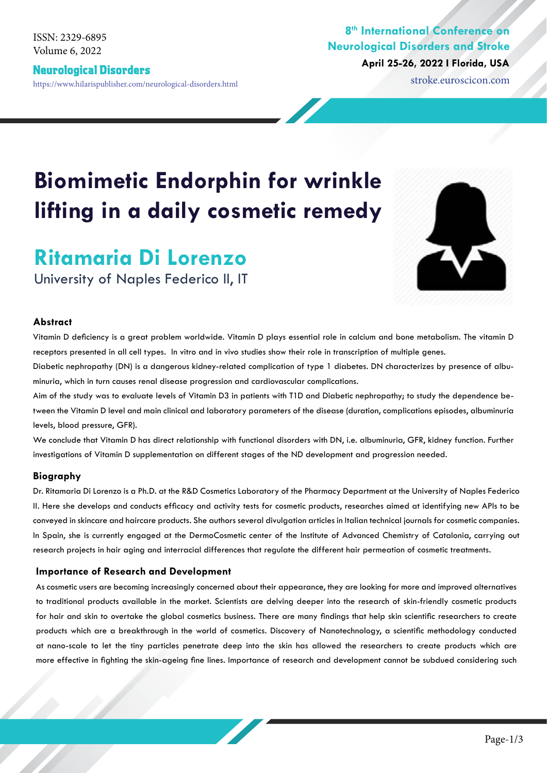Volume 6, 2022 ISSN: 2329-6895

#### Neurological Disorders

https://www.hilarispublisher.com/neurological-disorders.html stroke.euroscicon.com

### **8th International Conference on Neurological Disorders and Stroke April 25-26, 2022 I Florida, USA**

# **Biomimetic Endorphin for wrinkle lifting in a daily cosmetic remedy**

## **Ritamaria Di Lorenzo**

University of Naples Federico II, IT

#### **Abstract**

Vitamin D deficiency is a great problem worldwide. Vitamin D plays essential role in calcium and bone metabolism. The vitamin D receptors presented in all cell types. In vitro and in vivo studies show their role in transcription of multiple genes.

Diabetic nephropathy (DN) is a dangerous kidney-related complication of type 1 diabetes. DN characterizes by presence of albuminuria, which in turn causes renal disease progression and cardiovascular complications.

Aim of the study was to evaluate levels of Vitamin D3 in patients with T1D and Diabetic nephropathy; to study the dependence between the Vitamin D level and main clinical and laboratory parameters of the disease (duration, complications episodes, albuminuria levels, blood pressure, GFR).

We conclude that Vitamin D has direct relationship with functional disorders with DN, i.e. albuminuria, GFR, kidney function. Further investigations of Vitamin D supplementation on different stages of the ND development and progression needed.

#### **Biography**

Dr. Ritamaria Di Lorenzo is a Ph.D. at the R&D Cosmetics Laboratory of the Pharmacy Department at the University of Naples Federico II. Here she develops and conducts efficacy and activity tests for cosmetic products, researches aimed at identifying new APIs to be conveyed in skincare and haircare products. She authors several divulgation articles in Italian technical journals for cosmetic companies. In Spain, she is currently engaged at the DermoCosmetic center of the Institute of Advanced Chemistry of Catalonia, carrying out research projects in hair aging and interracial differences that regulate the different hair permeation of cosmetic treatments.

#### **Importance of Research and Development**

As cosmetic users are becoming increasingly concerned about their appearance, they are looking for more and improved alternatives to traditional products available in the market. Scientists are delving deeper into the research of skin-friendly cosmetic products for hair and skin to overtake the global cosmetics business. There are many findings that help skin scientific researchers to create products which are a breakthrough in the world of cosmetics. Discovery of Nanotechnology, a scientific methodology conducted at nano-scale to let the tiny particles penetrate deep into the skin has allowed the researchers to create products which are more effective in fighting the skin-ageing fine lines. Importance of research and development cannot be subdued considering such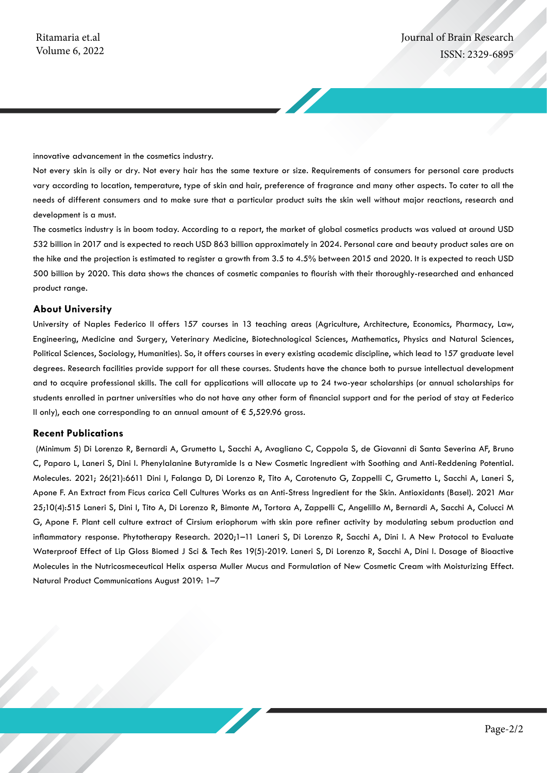innovative advancement in the cosmetics industry.

Not every skin is oily or dry. Not every hair has the same texture or size. Requirements of consumers for personal care products vary according to location, temperature, type of skin and hair, preference of fragrance and many other aspects. To cater to all the needs of different consumers and to make sure that a particular product suits the skin well without major reactions, research and development is a must.

The cosmetics industry is in boom today. According to a report, the market of global cosmetics products was valued at around USD 532 billion in 2017 and is expected to reach USD 863 billion approximately in 2024. Personal care and beauty product sales are on the hike and the projection is estimated to register a growth from 3.5 to 4.5% between 2015 and 2020. It is expected to reach USD 500 billion by 2020. This data shows the chances of cosmetic companies to flourish with their thoroughly-researched and enhanced product range.

#### **About University**

University of Naples Federico II offers 157 courses in 13 teaching areas (Agriculture, Architecture, Economics, Pharmacy, Law, Engineering, Medicine and Surgery, Veterinary Medicine, Biotechnological Sciences, Mathematics, Physics and Natural Sciences, Political Sciences, Sociology, Humanities). So, it offers courses in every existing academic discipline, which lead to 157 graduate level degrees. Research facilities provide support for all these courses. Students have the chance both to pursue intellectual development and to acquire professional skills. The call for applications will allocate up to 24 two-year scholarships (or annual scholarships for students enrolled in partner universities who do not have any other form of financial support and for the period of stay at Federico II only), each one corresponding to an annual amount of  $\epsilon$  5,529.96 gross.

#### **Recent Publications**

 (Minimum 5) Di Lorenzo R, Bernardi A, Grumetto L, Sacchi A, Avagliano C, Coppola S, de Giovanni di Santa Severina AF, Bruno C, Paparo L, Laneri S, Dini I. Phenylalanine Butyramide Is a New Cosmetic Ingredient with Soothing and Anti-Reddening Potential. Molecules. 2021; 26(21):6611 Dini I, Falanga D, Di Lorenzo R, Tito A, Carotenuto G, Zappelli C, Grumetto L, Sacchi A, Laneri S, Apone F. An Extract from Ficus carica Cell Cultures Works as an Anti-Stress Ingredient for the Skin. Antioxidants (Basel). 2021 Mar 25;10(4):515 Laneri S, Dini I, Tito A, Di Lorenzo R, Bimonte M, Tortora A, Zappelli C, Angelillo M, Bernardi A, Sacchi A, Colucci M G, Apone F. Plant cell culture extract of Cirsium eriophorum with skin pore refiner activity by modulating sebum production and inflammatory response. Phytotherapy Research. 2020;1–11 Laneri S, Di Lorenzo R, Sacchi A, Dini I. A New Protocol to Evaluate Waterproof Effect of Lip Gloss Biomed J Sci & Tech Res 19(5)-2019. Laneri S, Di Lorenzo R, Sacchi A, Dini I. Dosage of Bioactive Molecules in the Nutricosmeceutical Helix aspersa Muller Mucus and Formulation of New Cosmetic Cream with Moisturizing Effect. Natural Product Communications August 2019: 1–7